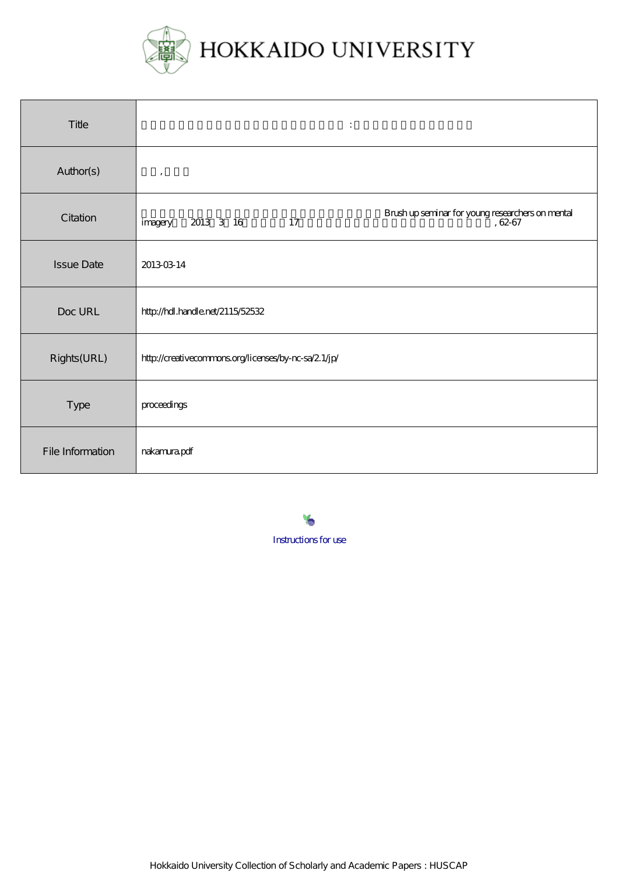

| Title             | $\ddot{\cdot}$                                                                            |
|-------------------|-------------------------------------------------------------------------------------------|
| Author(s)         | $\cdot$                                                                                   |
| Citation          | Brush up seminar for young researchers on mental<br>, 62-67<br>2013 3 16<br>17<br>imagery |
| <b>Issue Date</b> | 20130314                                                                                  |
| Doc URL           | http://hdl.handle.net/2115/52532                                                          |
| Rights(URL)       | http://creativecommons.org/licenses/by-nc-sa/2.1/jp/                                      |
| Type              | proceedings                                                                               |
| File Information  | mkamurapdf                                                                                |

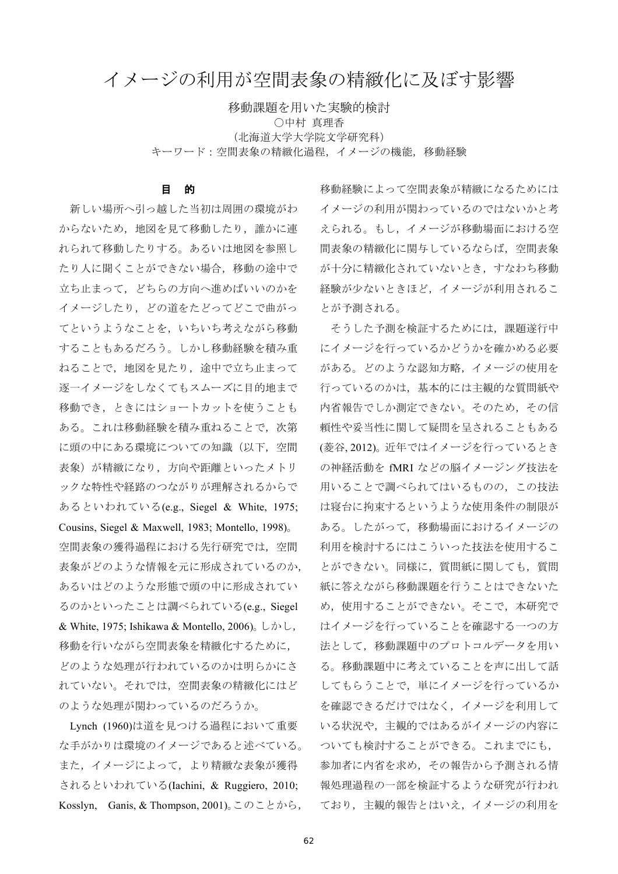# イメージの利用が空間表象の精緻化に及ぼす影響

移動課題を用いた実験的検討 ○中村 真理香 (北海道大学大学院文学研究科) キーワード:空間表象の精緻化過程、イメージの機能、移動経験

# 目 的

新しい場所へ引っ越した当初は周囲の環境がわ からないため、地図を見て移動したり、誰かに連 れられて移動したりする。あるいは地図を参照し たり人に聞くことができない場合、移動の途中で 立ち止まって、どちらの方向へ進めばいいのかを イメージしたり、どの道をたどってどこで曲がっ てというようなことを、いちいち考えながら移動 することもあるだろう。しかし移動経験を積み重 ねることで、地図を見たり、途中で立ち止まって 逐一イメージをしなくてもスムーズに目的地まで 移動でき、ときにはショートカットを使うことも ある。これは移動経験を積み重ねることで、次第 に頭の中にある環境についての知識(以下、空間 表象)が精緻になり、方向や距離といったメトリ ックな特性や経路のつながりが理解されるからで あるといわれている(e.g., Siegel & White, 1975; Cousins, Siegel & Maxwell, 1983; Montello, 1998). 空間表象の獲得過程における先行研究では、空間 表象がどのような情報を元に形成されているのか, あるいはどのような形態で頭の中に形成されてい るのかといったことは調べられている(e.g., Siegel & White, 1975; Ishikawa & Montello, 2006). L $\phi$  L, 移動を行いながら空間表象を精緻化するために、 どのような処理が行われているのかは明らかにさ れていない。それでは、空間表象の精緻化にはど のような処理が関わっているのだろうか。

Lynch (1960)は道を見つける過程において重要 な手がかりは環境のイメージであると述べている。 また、イメージによって、より精緻な表象が獲得 されるといわれている(Iachini, & Ruggiero, 2010; Kosslyn, Ganis, & Thompson, 2001)。このことから, 移動経験によって空間表象が精緻になるためには イメージの利用が関わっているのではないかと考 えられる。もし、イメージが移動場面における空 間表象の精緻化に関与しているならば、空間表象 が十分に精緻化されていないとき、すなわち移動 経験が少ないときほど、イメージが利用されるこ とが予測される。

そうした予測を検証するためには、課題遂行中 にイメージを行っているかどうかを確かめる必要 がある。どのような認知方略、イメージの使用を 行っているのかは、基本的には主観的な質問紙や 内省報告でしか測定できない。そのため、その信 頼性や妥当性に関して疑問を呈されることもある (菱谷, 2012)。近年ではイメージを行っているとき の神経活動を fMRI などの脳イメージング技法を 用いることで調べられてはいるものの、この技法 は寝台に拘束するというような使用条件の制限が ある。したがって、移動場面におけるイメージの 利用を検討するにはこういった技法を使用するこ とができない。同様に、質問紙に関しても、質問 紙に答えながら移動課題を行うことはできないた め、使用することができない。そこで、本研究で はイメージを行っていることを確認する一つの方 法として、移動課題中のプロトコルデータを用い る。移動課題中に考えていることを声に出して話 してもらうことで、単にイメージを行っているか を確認できるだけではなく、イメージを利用して いる状況や、主観的ではあるがイメージの内容に ついても検討することができる。これまでにも, 参加者に内省を求め、その報告から予測される情 報処理過程の一部を検証するような研究が行われ ており、主観的報告とはいえ、イメージの利用を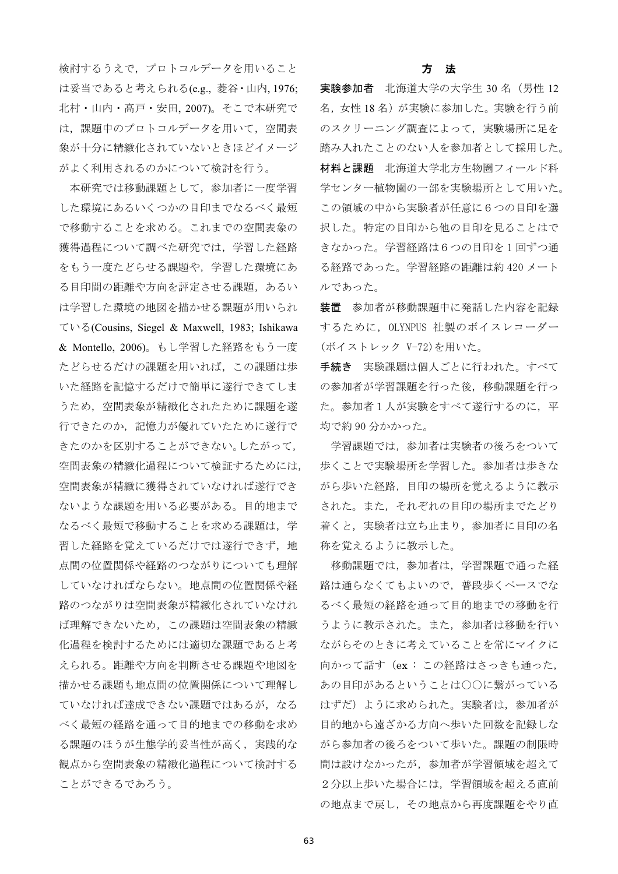検討するうえで、プロトコルデータを用いること は妥当であると考えられる(e.g., 菱谷·山内, 1976; 北村・山内・高戸・安田、2007)。そこで本研究で は、課題中のプロトコルデータを用いて、空間表 象が十分に精緻化されていないときほどイメージ がよく利用されるのかについて検討を行う。

本研究では移動課題として、参加者に一度学習 した環境にあるいくつかの目印までなるべく最短 で移動することを求める。これまでの空間表象の 獲得過程について調べた研究では、学習した経路 をもう一度たどらせる課題や、学習した環境にあ る目印間の距離や方向を評定させる課題,あるい は学習した環境の地図を描かせる課題が用いられ ている(Cousins, Siegel & Maxwell, 1983; Ishikawa & Montello, 2006)。もし学習した経路をもう一度 たどらせるだけの課題を用いれば、この課題は歩 いた経路を記憶するだけで簡単に遂行できてしま うため、空間表象が精緻化されたために課題を遂 行できたのか、記憶力が優れていたために遂行で きたのかを区別することができない。したがって, 空間表象の精緻化過程について検証するためには, 空間表象が精緻に獲得されていなければ遂行でき ないような課題を用いる必要がある。目的地まで なるべく最短で移動することを求める課題は、学 習した経路を覚えているだけでは遂行できず、地 点間の位置関係や経路のつながりについても理解 していなければならない。地点間の位置関係や経 路のつながりは空間表象が精緻化されていなけれ ば理解できないため、この課題は空間表象の精緻 化過程を検討するためには適切な課題であると考 えられる。距離や方向を判断させる課題や地図を 描かせる課題も地点間の位置関係について理解し ていなければ達成できない課題ではあるが、なる べく最短の経路を通って目的地までの移動を求め る課題のほうが生態学的妥当性が高く、実践的な 観点から空間表象の精緻化過程について検討する ことができるであろう。

# 方 法

実験参加者 北海道大学の大学生 30 名 (男性 12 名、女性18名)が実験に参加した。実験を行う前 のスクリーニング調査によって、実験場所に足を 踏み入れたことのない人を参加者として採用した。 材料と課題 北海道大学北方生物圏フィールド科 学センター植物園の一部を実験場所として用いた。 この領域の中から実験者が任意に6つの目印を選 択した。特定の目印から他の目印を見ることはで きなかった。学習経路は6つの目印を1回ずつ通 る経路であった。学習経路の距離は約420メート ルであった。

装置 参加者が移動課題中に発話した内容を記録 するために、OLYNPUS 社製のボイスレコーダー (ボイストレック V-72)を用いた。

手続き 実験課題は個人ごとに行われた。すべて の参加者が学習課題を行った後、移動課題を行っ た。参加者1人が実験をすべて遂行するのに、平 均で約90分かかった。

学習課題では、参加者は実験者の後ろをついて 歩くことで実験場所を学習した。参加者は歩きな がら歩いた経路、目印の場所を覚えるように教示 された。また、それぞれの目印の場所までたどり 着くと、実験者は立ち止まり、参加者に目印の名 称を覚えるように教示した。

移動課題では、参加者は、学習課題で通った経 路は通らなくてもよいので、普段歩くペースでな るべく最短の経路を通って目的地までの移動を行 うように教示された。また、参加者は移動を行い ながらそのときに考えていることを常にマイクに 向かって話す (ex: この経路はさっきも通った, あの目印があるということは○○に繋がっている はずだ)ように求められた。実験者は、参加者が 目的地から遠ざかる方向へ歩いた回数を記録しな がら参加者の後ろをついて歩いた。課題の制限時 間は設けなかったが、参加者が学習領域を超えて 2分以上歩いた場合には、学習領域を超える直前 の地点まで戻し、その地点から再度課題をやり直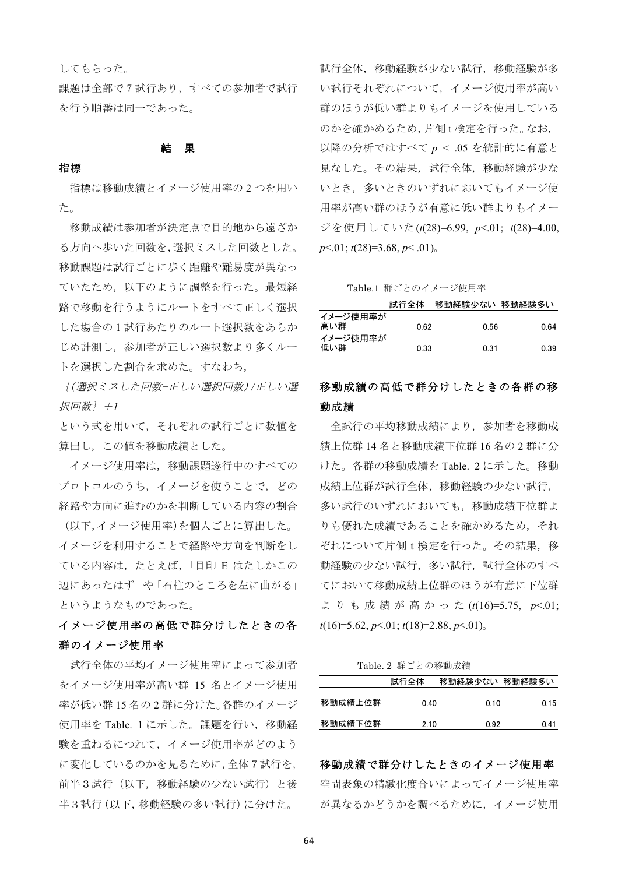# してもらった。

課題は全部で7試行あり、すべての参加者で試行 を行う順番は同一であった。

# 結果

#### 指標

指標は移動成績とイメージ使用率の2つを用い た。

移動成績は参加者が決定点で目的地から遠ざか る方向へ歩いた回数を,選択ミスした回数とした。 移動課題は試行ごとに歩く距離や難易度が異なっ ていたため、以下のように調整を行った。最短経 路で移動を行うようにルートをすべて正しく選択 した場合の1試行あたりのルート選択数をあらか じめ計測し、参加者が正しい選択数より多くルー トを選択した割合を求めた。すなわち,

{(選択ミスした回数-正しい選択回数)/正しい選 択回数 } +1

という式を用いて、それぞれの試行ごとに数値を 算出し、この値を移動成績とした。

イメージ使用率は、移動課題遂行中のすべての プロトコルのうち、イメージを使うことで、どの 経路や方向に進むのかを判断している内容の割合

(以下,イメージ使用率)を個人ごとに算出した。 イメージを利用することで経路や方向を判断をし ている内容は、たとえば、「目印 E はたしかこの 辺にあったはず」や「石柱のところを左に曲がる」 というようなものであった。

イメージ使用率の高低で群分けしたときの各 群のイメージ使用率

試行全体の平均イメージ使用率によって参加者 をイメージ使用率が高い群 15 名とイメージ使用 率が低い群15名の2群に分けた。各群のイメージ 使用率を Table. 1 に示した。課題を行い、移動経 験を重ねるにつれて、イメージ使用率がどのよう に変化しているのかを見るために,全体7試行を, 前半3試行(以下、移動経験の少ない試行)と後 半3試行(以下、移動経験の多い試行)に分けた。

試行全体、移動経験が少ない試行、移動経験が多 い試行それぞれについて、イメージ使用率が高い 群のほうが低い群よりもイメージを使用している のかを確かめるため、片側t検定を行った。なお, 以降の分析ではすべて  $p < .05$ を統計的に有意と 見なした。その結果、試行全体、移動経験が少な いとき、多いときのいずれにおいてもイメージ使 用率が高い群のほうが有意に低い群よりもイメー ジを使用していた(t(28)=6.99, p<.01; t(28)=4.00,  $p<.01$ ;  $t(28)=3.68$ ,  $p<.01$ ).

Table.1 群ごとのイメージ使用率

|                 | 試行全体 | 移動経験少ない 移動経験多い |      |
|-----------------|------|----------------|------|
| イメージ使用率が<br>高い群 | 0.62 | 0.56           | 0.64 |
| イメージ使用率が<br>低い群 | 0.33 | 0.31           | 0.39 |

# 移動成績の高低で群分けしたときの各群の移 動成績

全試行の平均移動成績により、参加者を移動成 績上位群14名と移動成績下位群16名の2群に分 けた。各群の移動成績をTable. 2に示した。移動 成績上位群が試行全体,移動経験の少ない試行, 多い試行のいずれにおいても、移動成績下位群よ りも優れた成績であることを確かめるため、それ ぞれについて片側 t 検定を行った。その結果, 移 動経験の少ない試行、多い試行、試行全体のすべ てにおいて移動成績上位群のほうが有意に下位群 よりも成績が高かった(t(16)=5.75, p<.01;  $t(16)=5.62, p<0.1; t(18)=2.88, p<0.1$ 

Table. 2 群ごとの移動成績

|         | 試行全体 | 移動経験少ない 移動経験多い |      |
|---------|------|----------------|------|
| 移動成績上位群 | 0.40 | 0.10           | 0.15 |
| 移動成績下位群 | 2.10 | 0.92           | 0.41 |

移動成績で群分けしたときのイメージ使用率 空間表象の精緻化度合いによってイメージ使用率 が異なるかどうかを調べるために、イメージ使用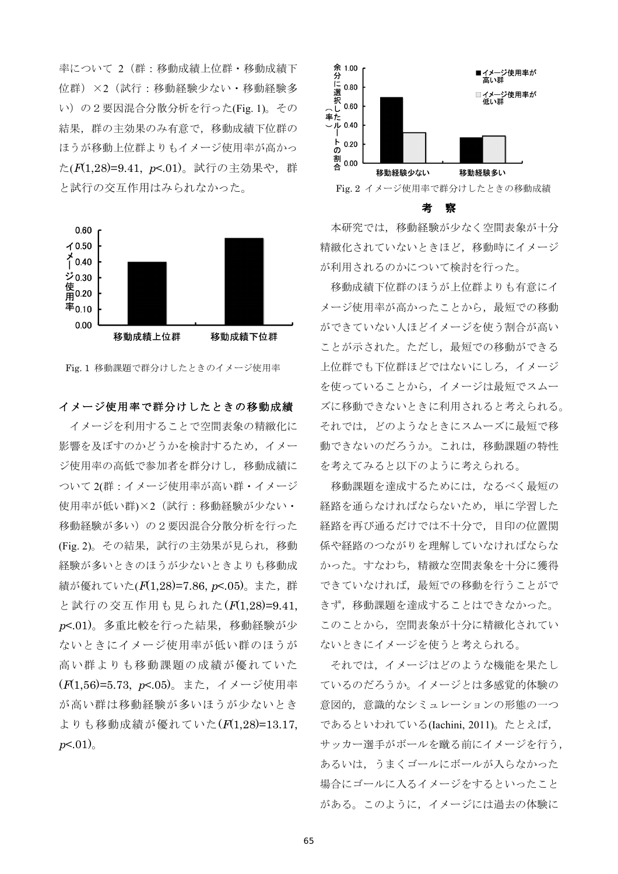率について 2 (群:移動成績上位群·移動成績下 位群) ×2 (試行:移動経験少ない·移動経験多 い)の2要因混合分散分析を行った(Fig. 1)。その 結果、群の主効果のみ有意で、移動成績下位群の ほうが移動上位群よりもイメージ使用率が高かっ た(F(1,28)=9.41, p <. 01)。試行の主効果や、群 と試行の交互作用はみられなかった。



Fig. 1 移動課題で群分けしたときのイメージ使用率

# イメージ使用率で群分けしたときの移動成績

イメージを利用することで空間表象の精緻化に 影響を及ぼすのかどうかを検討するため、イメー ジ使用率の高低で参加者を群分けし、移動成績に ついて 2(群:イメージ使用率が高い群・イメージ 使用率が低い群)×2 (試行:移動経験が少ない· 移動経験が多い)の2要因混合分散分析を行った (Fig. 2)。その結果, 試行の主効果が見られ, 移動 経験が多いときのほうが少ないときよりも移動成 績が優れていた(F(1.28)=7.86, p <. 05)。また、群 と試行の交互作用も見られた(F(1,28)=9.41, p<.01)。多重比較を行った結果,移動経験が少 ないときにイメージ使用率が低い群のほうが 高い群よりも移動課題の成績が優れていた (F(1.56)=5.73, p<.05)。また、イメージ使用率 が高い群は移動経験が多いほうが少ないとき よりも移動成績が優れていた(F(1.28)=13.17.  $p<01$ )



うちゅう 考え 察てる

本研究では、移動経験が少なく空間表象が十分 精緻化されていないときほど、移動時にイメージ が利用されるのかについて検討を行った。

移動成績下位群のほうが上位群よりも有意にイ メージ使用率が高かったことから、最短での移動 ができていない人ほどイメージを使う割合が高い ことが示された。ただし、最短での移動ができる 上位群でも下位群ほどではないにしろ、イメージ を使っていることから、イメージは最短でスムー ズに移動できないときに利用されると考えられる。 それでは、どのようなときにスムーズに最短で移 動できないのだろうか。これは、移動課題の特性 を考えてみると以下のように考えられる。

移動課題を達成するためには、なるべく最短の 経路を通らなければならないため、単に学習した 経路を再び通るだけでは不十分で、目印の位置関 係や経路のつながりを理解していなければならな かった。すなわち、精緻な空間表象を十分に獲得 できていなければ、最短での移動を行うことがで きず、移動課題を達成することはできなかった。 このことから、空間表象が十分に精緻化されてい ないときにイメージを使うと考えられる。

それでは、イメージはどのような機能を果たし ているのだろうか。イメージとは多感覚的体験の 意図的、意識的なシミュレーションの形態の一つ であるといわれている(Iachini, 2011)。たとえば, サッカー選手がボールを蹴る前にイメージを行う, あるいは、うまくゴールにボールが入らなかった 場合にゴールに入るイメージをするといったこと がある。このように、イメージには過去の体験に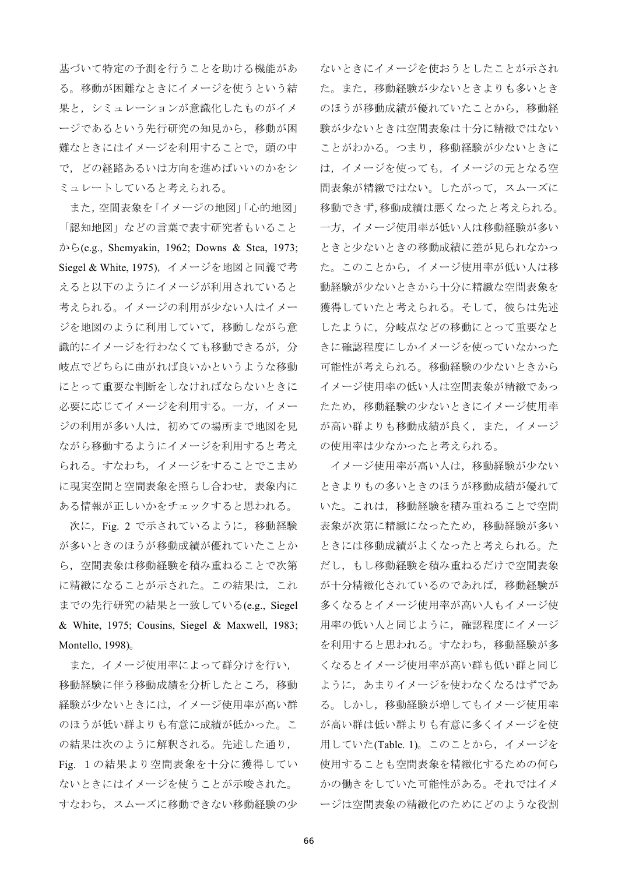基づいて特定の予測を行うことを助ける機能があ る。移動が困難なときにイメージを使うという結 果と、シミュレーションが意識化したものがイメ ージであるという先行研究の知見から、移動が困 難なときにはイメージを利用することで、頭の中 で、どの経路あるいは方向を進めばいいのかをシ ミュレートしていると考えられる。

また,空間表象を「イメージの地図」「心的地図」 「認知地図」などの言葉で表す研究者もいること  $\phi$  is ightharpoontriangleright and the 1962; Downs & Stea, 1973; Siegel & White, 1975), イメージを地図と同義で考 えると以下のようにイメージが利用されていると 考えられる。イメージの利用が少ない人はイメー ジを地図のように利用していて、移動しながら意 識的にイメージを行わなくても移動できるが、分 岐点でどちらに曲がれば良いかというような移動 にとって重要な判断をしなければならないときに 必要に応じてイメージを利用する。一方, イメー ジの利用が多い人は、初めての場所まで地図を見 ながら移動するようにイメージを利用すると考え られる。すなわち、イメージをすることでこまめ に現実空間と空間表象を照らし合わせ、表象内に ある情報が正しいかをチェックすると思われる。

次に, Fig. 2 で示されているように, 移動経験 が多いときのほうが移動成績が優れていたことか ら、空間表象は移動経験を積み重ねることで次第 に精緻になることが示された。この結果は、これ までの先行研究の結果と一致している(e.g., Siegel & White, 1975; Cousins, Siegel & Maxwell, 1983; Montello,  $1998$ ).

また、イメージ使用率によって群分けを行い, 移動経験に伴う移動成績を分析したところ、移動 経験が少ないときには、イメージ使用率が高い群 のほうが低い群よりも有意に成績が低かった。こ の結果は次のように解釈される。先述した通り, Fig. 1の結果より空間表象を十分に獲得してい ないときにはイメージを使うことが示唆された。 すなわち、スムーズに移動できない移動経験の少 ないときにイメージを使おうとしたことが示され た。また、移動経験が少ないときよりも多いとき のほうが移動成績が優れていたことから、移動経 験が少ないときは空間表象は十分に精緻ではない ことがわかる。つまり、移動経験が少ないときに は、イメージを使っても、イメージの元となる空 間表象が精緻ではない。したがって、スムーズに 移動できず,移動成績は悪くなったと考えられる。 一方、イメージ使用率が低い人は移動経験が多い ときと少ないときの移動成績に差が見られなかっ た。このことから、イメージ使用率が低い人は移 動経験が少ないときから十分に精緻な空間表象を 獲得していたと考えられる。そして、彼らは先述 したように、分岐点などの移動にとって重要なと きに確認程度にしかイメージを使っていなかった 可能性が考えられる。移動経験の少ないときから イメージ使用率の低い人は空間表象が精緻であっ たため、移動経験の少ないときにイメージ使用率 が高い群よりも移動成績が良く、また、イメージ の使用率は少なかったと考えられる。

イメージ使用率が高い人は、移動経験が少ない ときよりもの多いときのほうが移動成績が優れて いた。これは、移動経験を積み重ねることで空間 表象が次第に精緻になったため、移動経験が多い ときには移動成績がよくなったと考えられる。た だし、もし移動経験を積み重ねるだけで空間表象 が十分精緻化されているのであれば、移動経験が 多くなるとイメージ使用率が高い人もイメージ使 用率の低い人と同じように、確認程度にイメージ を利用すると思われる。すなわち、移動経験が多 くなるとイメージ使用率が高い群も低い群と同じ ように、あまりイメージを使わなくなるはずであ る。しかし、移動経験が増してもイメージ使用率 が高い群は低い群よりも有意に多くイメージを使 用していた(Table. 1)。このことから、イメージを 使用することも空間表象を精緻化するための何ら かの働きをしていた可能性がある。それではイメ ージは空間表象の精緻化のためにどのような役割